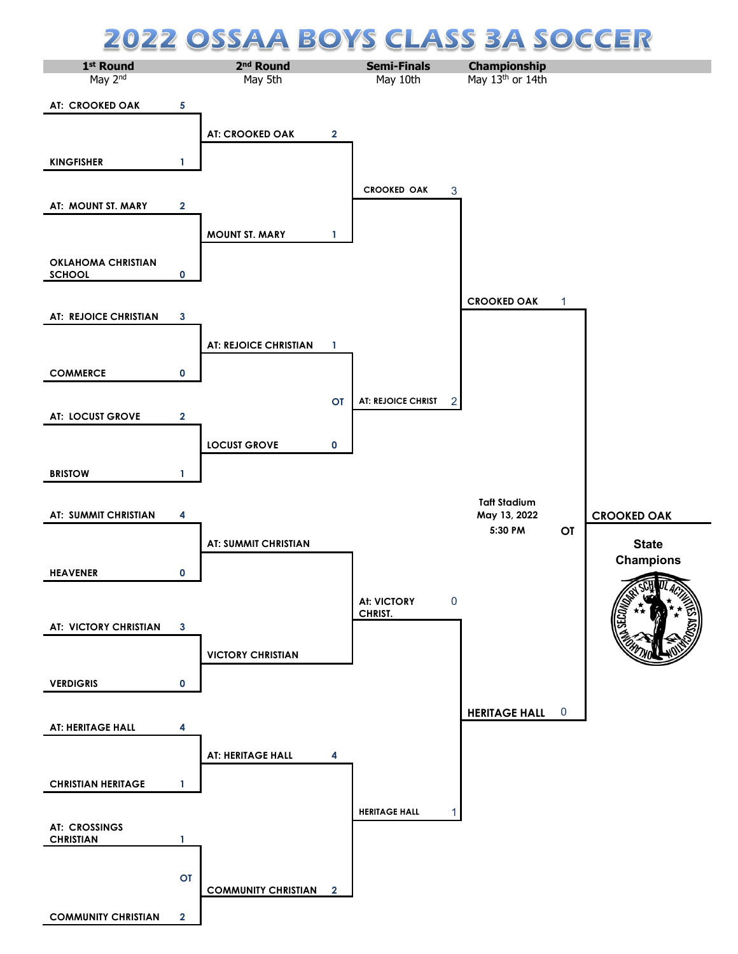